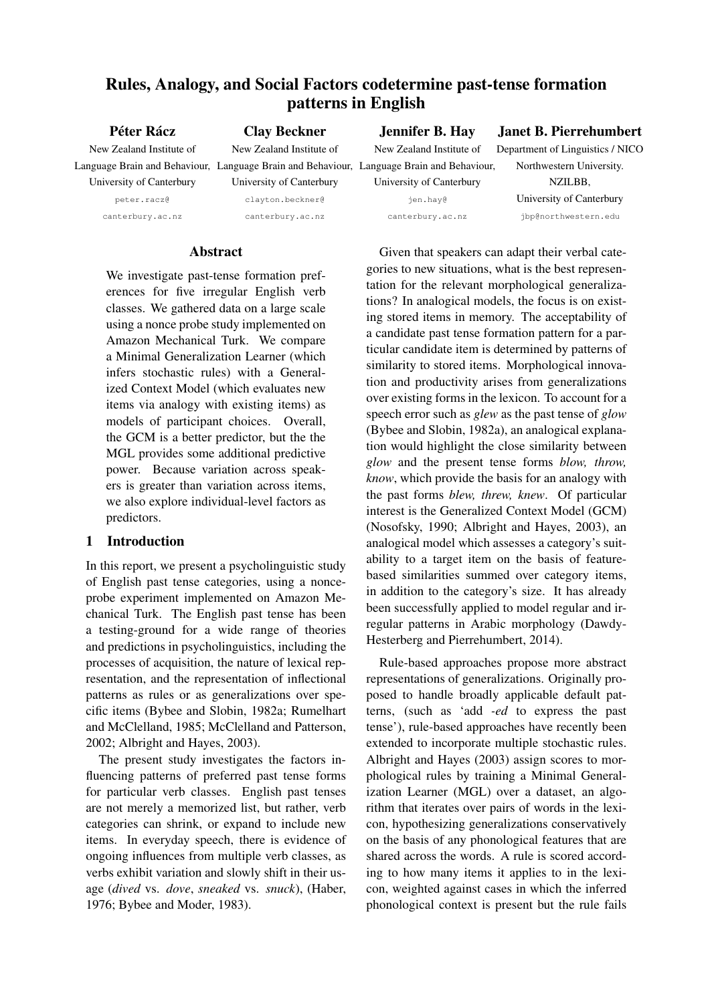# Rules, Analogy, and Social Factors codetermine past-tense formation patterns in English

Péter Rácz New Zealand Institute of Language Brain and Behaviour, Language Brain and Behaviour, Language Brain and Behaviour, University of Canterbury

peter.racz@ canterbury.ac.nz University of Canterbury clayton.beckner@ canterbury.ac.nz

Clay Beckner New Zealand Institute of

# Jennifer B. Hay

Janet B. Pierrehumbert

New Zealand Institute of

Department of Linguistics / NICO Northwestern University. NZILBB,

> University of Canterbury jbp@northwestern.edu

jen.hay@ canterbury.ac.nz

University of Canterbury

# Abstract

We investigate past-tense formation preferences for five irregular English verb classes. We gathered data on a large scale using a nonce probe study implemented on Amazon Mechanical Turk. We compare a Minimal Generalization Learner (which infers stochastic rules) with a Generalized Context Model (which evaluates new items via analogy with existing items) as models of participant choices. Overall, the GCM is a better predictor, but the the MGL provides some additional predictive power. Because variation across speakers is greater than variation across items, we also explore individual-level factors as predictors.

# 1 Introduction

In this report, we present a psycholinguistic study of English past tense categories, using a nonceprobe experiment implemented on Amazon Mechanical Turk. The English past tense has been a testing-ground for a wide range of theories and predictions in psycholinguistics, including the processes of acquisition, the nature of lexical representation, and the representation of inflectional patterns as rules or as generalizations over specific items (Bybee and Slobin, 1982a; Rumelhart and McClelland, 1985; McClelland and Patterson, 2002; Albright and Hayes, 2003).

The present study investigates the factors influencing patterns of preferred past tense forms for particular verb classes. English past tenses are not merely a memorized list, but rather, verb categories can shrink, or expand to include new items. In everyday speech, there is evidence of ongoing influences from multiple verb classes, as verbs exhibit variation and slowly shift in their usage (*dived* vs. *dove*, *sneaked* vs. *snuck*), (Haber, 1976; Bybee and Moder, 1983).

Given that speakers can adapt their verbal categories to new situations, what is the best representation for the relevant morphological generalizations? In analogical models, the focus is on existing stored items in memory. The acceptability of a candidate past tense formation pattern for a particular candidate item is determined by patterns of similarity to stored items. Morphological innovation and productivity arises from generalizations over existing forms in the lexicon. To account for a speech error such as *glew* as the past tense of *glow* (Bybee and Slobin, 1982a), an analogical explanation would highlight the close similarity between *glow* and the present tense forms *blow, throw, know*, which provide the basis for an analogy with the past forms *blew, threw, knew*. Of particular interest is the Generalized Context Model (GCM) (Nosofsky, 1990; Albright and Hayes, 2003), an analogical model which assesses a category's suitability to a target item on the basis of featurebased similarities summed over category items, in addition to the category's size. It has already been successfully applied to model regular and irregular patterns in Arabic morphology (Dawdy-Hesterberg and Pierrehumbert, 2014).

Rule-based approaches propose more abstract representations of generalizations. Originally proposed to handle broadly applicable default patterns, (such as 'add *-ed* to express the past tense'), rule-based approaches have recently been extended to incorporate multiple stochastic rules. Albright and Hayes (2003) assign scores to morphological rules by training a Minimal Generalization Learner (MGL) over a dataset, an algorithm that iterates over pairs of words in the lexicon, hypothesizing generalizations conservatively on the basis of any phonological features that are shared across the words. A rule is scored according to how many items it applies to in the lexicon, weighted against cases in which the inferred phonological context is present but the rule fails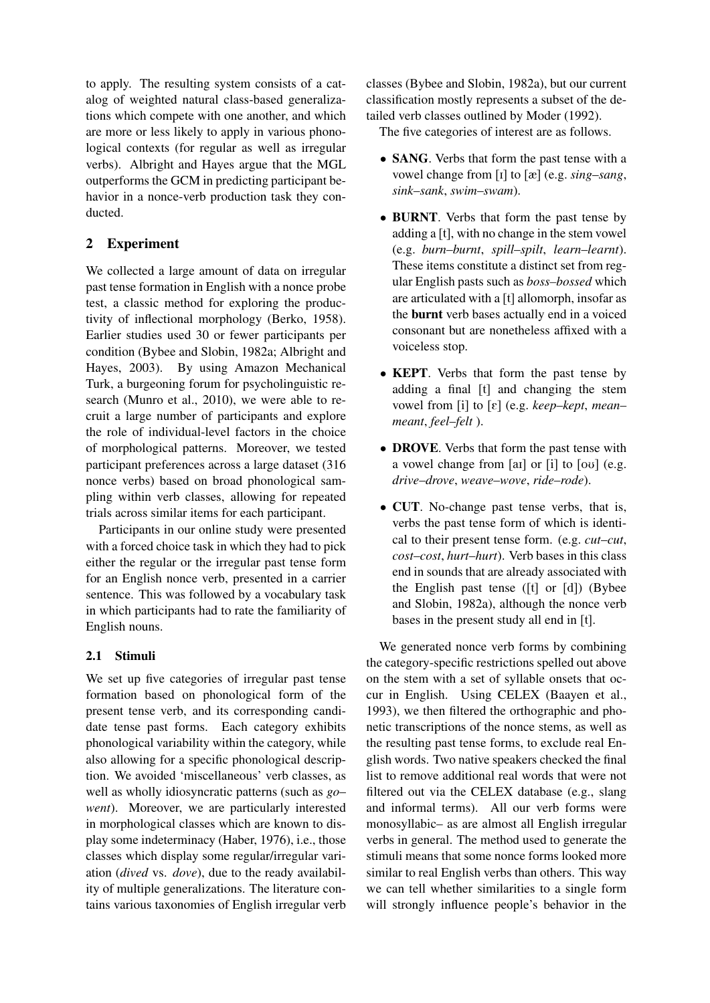to apply. The resulting system consists of a catalog of weighted natural class-based generalizations which compete with one another, and which are more or less likely to apply in various phonological contexts (for regular as well as irregular verbs). Albright and Hayes argue that the MGL outperforms the GCM in predicting participant behavior in a nonce-verb production task they conducted.

# 2 Experiment

We collected a large amount of data on irregular past tense formation in English with a nonce probe test, a classic method for exploring the productivity of inflectional morphology (Berko, 1958). Earlier studies used 30 or fewer participants per condition (Bybee and Slobin, 1982a; Albright and Hayes, 2003). By using Amazon Mechanical Turk, a burgeoning forum for psycholinguistic research (Munro et al., 2010), we were able to recruit a large number of participants and explore the role of individual-level factors in the choice of morphological patterns. Moreover, we tested participant preferences across a large dataset (316 nonce verbs) based on broad phonological sampling within verb classes, allowing for repeated trials across similar items for each participant.

Participants in our online study were presented with a forced choice task in which they had to pick either the regular or the irregular past tense form for an English nonce verb, presented in a carrier sentence. This was followed by a vocabulary task in which participants had to rate the familiarity of English nouns.

## 2.1 Stimuli

We set up five categories of irregular past tense formation based on phonological form of the present tense verb, and its corresponding candidate tense past forms. Each category exhibits phonological variability within the category, while also allowing for a specific phonological description. We avoided 'miscellaneous' verb classes, as well as wholly idiosyncratic patterns (such as *go*– *went*). Moreover, we are particularly interested in morphological classes which are known to display some indeterminacy (Haber, 1976), i.e., those classes which display some regular/irregular variation (*dived* vs. *dove*), due to the ready availability of multiple generalizations. The literature contains various taxonomies of English irregular verb classes (Bybee and Slobin, 1982a), but our current classification mostly represents a subset of the detailed verb classes outlined by Moder (1992).

The five categories of interest are as follows.

- **SANG**. Verbs that form the past tense with a vowel change from [I] to [æ] (e.g. *sing*–*sang*, *sink*–*sank*, *swim*–*swam*).
- BURNT. Verbs that form the past tense by adding a [t], with no change in the stem vowel (e.g. *burn*–*burnt*, *spill*–*spilt*, *learn*–*learnt*). These items constitute a distinct set from regular English pasts such as *boss–bossed* which are articulated with a [t] allomorph, insofar as the burnt verb bases actually end in a voiced consonant but are nonetheless affixed with a voiceless stop.
- **KEPT**. Verbs that form the past tense by adding a final [t] and changing the stem vowel from [i] to [E] (e.g. *keep*–*kept*, *mean*– *meant*, *feel*–*felt* ).
- DROVE. Verbs that form the past tense with a vowel change from  $\lceil \text{ai} \rceil$  or  $\lceil \text{i} \rceil$  to  $\lceil \text{ou} \rceil$  (e.g. *drive*–*drove*, *weave*–*wove*, *ride*–*rode*).
- **CUT**. No-change past tense verbs, that is, verbs the past tense form of which is identical to their present tense form. (e.g. *cut*–*cut*, *cost*–*cost*, *hurt*–*hurt*). Verb bases in this class end in sounds that are already associated with the English past tense ([t] or [d]) (Bybee and Slobin, 1982a), although the nonce verb bases in the present study all end in [t].

We generated nonce verb forms by combining the category-specific restrictions spelled out above on the stem with a set of syllable onsets that occur in English. Using CELEX (Baayen et al., 1993), we then filtered the orthographic and phonetic transcriptions of the nonce stems, as well as the resulting past tense forms, to exclude real English words. Two native speakers checked the final list to remove additional real words that were not filtered out via the CELEX database (e.g., slang and informal terms). All our verb forms were monosyllabic– as are almost all English irregular verbs in general. The method used to generate the stimuli means that some nonce forms looked more similar to real English verbs than others. This way we can tell whether similarities to a single form will strongly influence people's behavior in the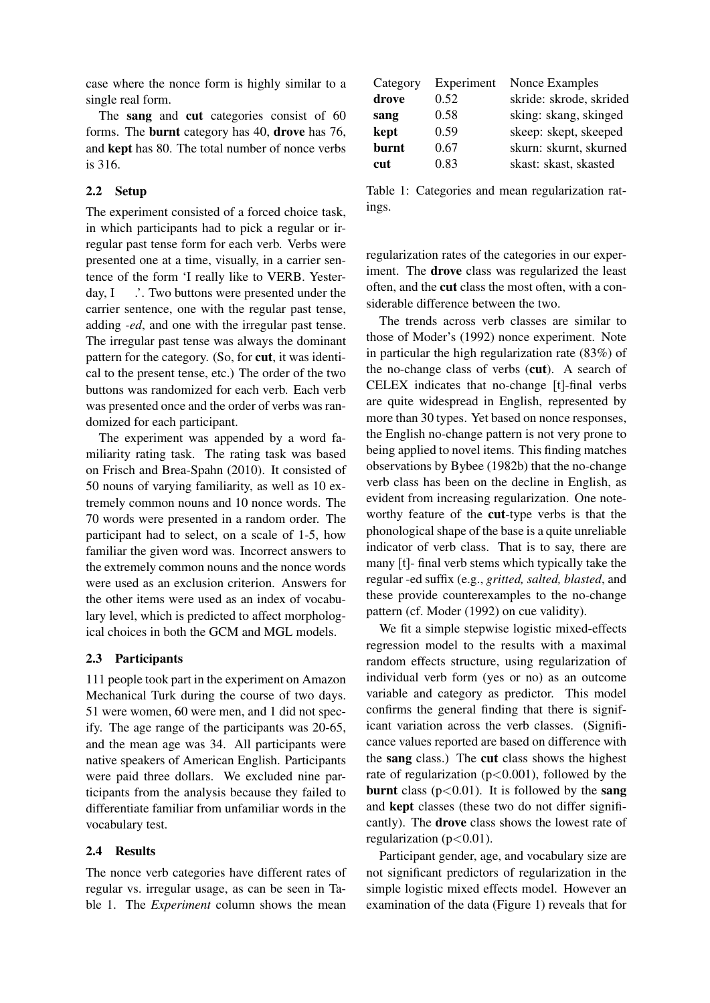case where the nonce form is highly similar to a single real form.

The sang and cut categories consist of 60 forms. The burnt category has 40, drove has 76, and kept has 80. The total number of nonce verbs is 316.

## 2.2 Setup

The experiment consisted of a forced choice task, in which participants had to pick a regular or irregular past tense form for each verb. Verbs were presented one at a time, visually, in a carrier sentence of the form 'I really like to VERB. Yesterday, I  $\therefore$  Two buttons were presented under the carrier sentence, one with the regular past tense, adding *-ed*, and one with the irregular past tense. The irregular past tense was always the dominant pattern for the category. (So, for cut, it was identical to the present tense, etc.) The order of the two buttons was randomized for each verb. Each verb was presented once and the order of verbs was randomized for each participant.

The experiment was appended by a word familiarity rating task. The rating task was based on Frisch and Brea-Spahn (2010). It consisted of 50 nouns of varying familiarity, as well as 10 extremely common nouns and 10 nonce words. The 70 words were presented in a random order. The participant had to select, on a scale of 1-5, how familiar the given word was. Incorrect answers to the extremely common nouns and the nonce words were used as an exclusion criterion. Answers for the other items were used as an index of vocabulary level, which is predicted to affect morphological choices in both the GCM and MGL models.

## 2.3 Participants

111 people took part in the experiment on Amazon Mechanical Turk during the course of two days. 51 were women, 60 were men, and 1 did not specify. The age range of the participants was 20-65, and the mean age was 34. All participants were native speakers of American English. Participants were paid three dollars. We excluded nine participants from the analysis because they failed to differentiate familiar from unfamiliar words in the vocabulary test.

#### 2.4 Results

The nonce verb categories have different rates of regular vs. irregular usage, as can be seen in Table 1. The *Experiment* column shows the mean

| Experiment | Nonce Examples          |
|------------|-------------------------|
| 0.52       | skride: skrode, skrided |
| 0.58       | sking: skang, skinged   |
| 0.59       | skeep: skept, skeeped   |
| 0.67       | skurn: skurnt, skurned  |
| 0.83       | skast: skast, skasted   |
|            |                         |

Table 1: Categories and mean regularization ratings.

regularization rates of the categories in our experiment. The **drove** class was regularized the least often, and the cut class the most often, with a considerable difference between the two.

The trends across verb classes are similar to those of Moder's (1992) nonce experiment. Note in particular the high regularization rate (83%) of the no-change class of verbs (cut). A search of CELEX indicates that no-change [t]-final verbs are quite widespread in English, represented by more than 30 types. Yet based on nonce responses, the English no-change pattern is not very prone to being applied to novel items. This finding matches observations by Bybee (1982b) that the no-change verb class has been on the decline in English, as evident from increasing regularization. One noteworthy feature of the cut-type verbs is that the phonological shape of the base is a quite unreliable indicator of verb class. That is to say, there are many [t]- final verb stems which typically take the regular -ed suffix (e.g., *gritted, salted, blasted*, and these provide counterexamples to the no-change pattern (cf. Moder (1992) on cue validity).

We fit a simple stepwise logistic mixed-effects regression model to the results with a maximal random effects structure, using regularization of individual verb form (yes or no) as an outcome variable and category as predictor. This model confirms the general finding that there is significant variation across the verb classes. (Significance values reported are based on difference with the sang class.) The cut class shows the highest rate of regularization  $(p<0.001)$ , followed by the burnt class ( $p < 0.01$ ). It is followed by the sang and kept classes (these two do not differ significantly). The drove class shows the lowest rate of regularization ( $p < 0.01$ ).

Participant gender, age, and vocabulary size are not significant predictors of regularization in the simple logistic mixed effects model. However an examination of the data (Figure 1) reveals that for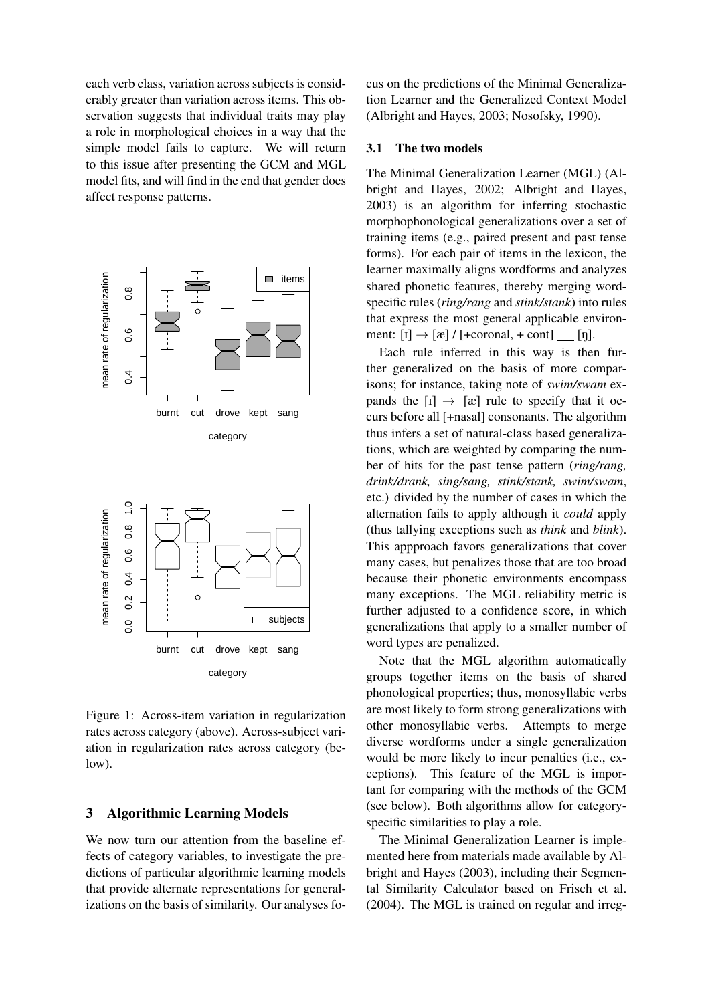each verb class, variation across subjects is considerably greater than variation across items. This observation suggests that individual traits may play a role in morphological choices in a way that the simple model fails to capture. We will return to this issue after presenting the GCM and MGL model fits, and will find in the end that gender does affect response patterns.



Figure 1: Across-item variation in regularization rates across category (above). Across-subject variation in regularization rates across category (below).

## 3 Algorithmic Learning Models

We now turn our attention from the baseline effects of category variables, to investigate the predictions of particular algorithmic learning models that provide alternate representations for generalizations on the basis of similarity. Our analyses fo-

cus on the predictions of the Minimal Generalization Learner and the Generalized Context Model (Albright and Hayes, 2003; Nosofsky, 1990).

## 3.1 The two models

The Minimal Generalization Learner (MGL) (Albright and Hayes, 2002; Albright and Hayes, 2003) is an algorithm for inferring stochastic morphophonological generalizations over a set of training items (e.g., paired present and past tense forms). For each pair of items in the lexicon, the learner maximally aligns wordforms and analyzes shared phonetic features, thereby merging wordspecific rules (*ring/rang* and *stink/stank*) into rules that express the most general applicable environment:  $[i] \rightarrow [\alpha]/[\pm \text{coronal}, \pm \text{cont}]$  [n].

Each rule inferred in this way is then further generalized on the basis of more comparisons; for instance, taking note of *swim/swam* expands the  $[i] \rightarrow [\alpha]$  rule to specify that it occurs before all [+nasal] consonants. The algorithm thus infers a set of natural-class based generalizations, which are weighted by comparing the number of hits for the past tense pattern (*ring/rang, drink/drank, sing/sang, stink/stank, swim/swam*, etc.) divided by the number of cases in which the alternation fails to apply although it *could* apply (thus tallying exceptions such as *think* and *blink*). This appproach favors generalizations that cover many cases, but penalizes those that are too broad because their phonetic environments encompass many exceptions. The MGL reliability metric is further adjusted to a confidence score, in which generalizations that apply to a smaller number of word types are penalized.

Note that the MGL algorithm automatically groups together items on the basis of shared phonological properties; thus, monosyllabic verbs are most likely to form strong generalizations with other monosyllabic verbs. Attempts to merge diverse wordforms under a single generalization would be more likely to incur penalties (i.e., exceptions). This feature of the MGL is important for comparing with the methods of the GCM (see below). Both algorithms allow for categoryspecific similarities to play a role.

The Minimal Generalization Learner is implemented here from materials made available by Albright and Hayes (2003), including their Segmental Similarity Calculator based on Frisch et al. (2004). The MGL is trained on regular and irreg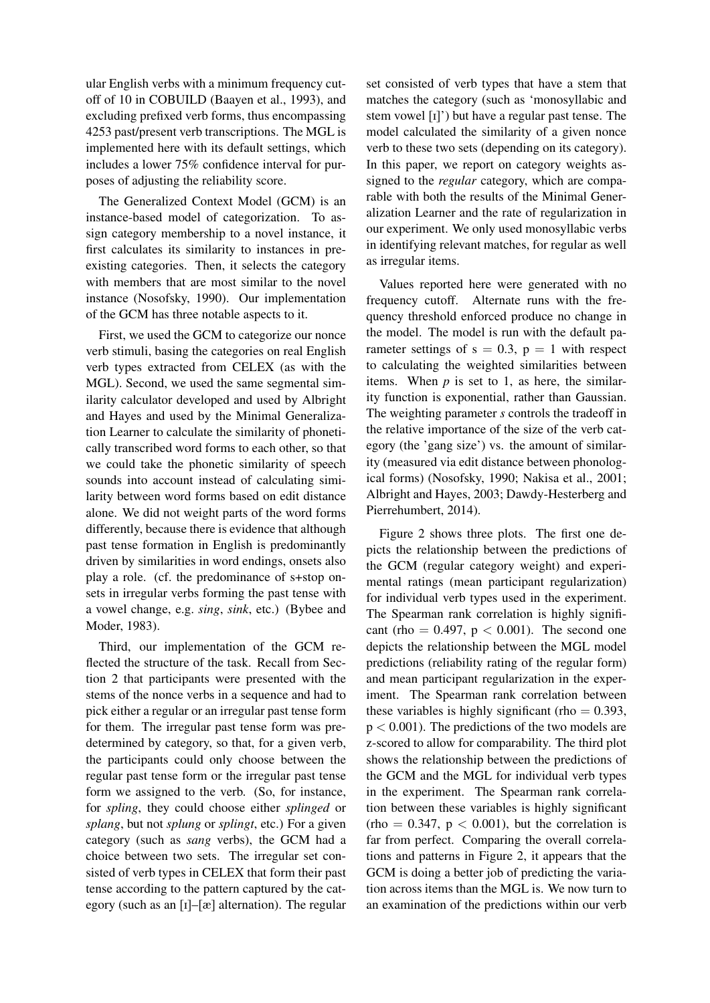ular English verbs with a minimum frequency cutoff of 10 in COBUILD (Baayen et al., 1993), and excluding prefixed verb forms, thus encompassing 4253 past/present verb transcriptions. The MGL is implemented here with its default settings, which includes a lower 75% confidence interval for purposes of adjusting the reliability score.

The Generalized Context Model (GCM) is an instance-based model of categorization. To assign category membership to a novel instance, it first calculates its similarity to instances in preexisting categories. Then, it selects the category with members that are most similar to the novel instance (Nosofsky, 1990). Our implementation of the GCM has three notable aspects to it.

First, we used the GCM to categorize our nonce verb stimuli, basing the categories on real English verb types extracted from CELEX (as with the MGL). Second, we used the same segmental similarity calculator developed and used by Albright and Hayes and used by the Minimal Generalization Learner to calculate the similarity of phonetically transcribed word forms to each other, so that we could take the phonetic similarity of speech sounds into account instead of calculating similarity between word forms based on edit distance alone. We did not weight parts of the word forms differently, because there is evidence that although past tense formation in English is predominantly driven by similarities in word endings, onsets also play a role. (cf. the predominance of s+stop onsets in irregular verbs forming the past tense with a vowel change, e.g. *sing*, *sink*, etc.) (Bybee and Moder, 1983).

Third, our implementation of the GCM reflected the structure of the task. Recall from Section 2 that participants were presented with the stems of the nonce verbs in a sequence and had to pick either a regular or an irregular past tense form for them. The irregular past tense form was predetermined by category, so that, for a given verb, the participants could only choose between the regular past tense form or the irregular past tense form we assigned to the verb. (So, for instance, for *spling*, they could choose either *splinged* or *splang*, but not *splung* or *splingt*, etc.) For a given category (such as *sang* verbs), the GCM had a choice between two sets. The irregular set consisted of verb types in CELEX that form their past tense according to the pattern captured by the category (such as an  $\lceil 1 - \lceil x \rceil$  alternation). The regular set consisted of verb types that have a stem that matches the category (such as 'monosyllabic and stem vowel [I]') but have a regular past tense. The model calculated the similarity of a given nonce verb to these two sets (depending on its category). In this paper, we report on category weights assigned to the *regular* category, which are comparable with both the results of the Minimal Generalization Learner and the rate of regularization in our experiment. We only used monosyllabic verbs in identifying relevant matches, for regular as well as irregular items.

Values reported here were generated with no frequency cutoff. Alternate runs with the frequency threshold enforced produce no change in the model. The model is run with the default parameter settings of  $s = 0.3$ ,  $p = 1$  with respect to calculating the weighted similarities between items. When  $p$  is set to 1, as here, the similarity function is exponential, rather than Gaussian. The weighting parameter *s* controls the tradeoff in the relative importance of the size of the verb category (the 'gang size') vs. the amount of similarity (measured via edit distance between phonological forms) (Nosofsky, 1990; Nakisa et al., 2001; Albright and Hayes, 2003; Dawdy-Hesterberg and Pierrehumbert, 2014).

Figure 2 shows three plots. The first one depicts the relationship between the predictions of the GCM (regular category weight) and experimental ratings (mean participant regularization) for individual verb types used in the experiment. The Spearman rank correlation is highly significant (rho =  $0.497$ , p <  $0.001$ ). The second one depicts the relationship between the MGL model predictions (reliability rating of the regular form) and mean participant regularization in the experiment. The Spearman rank correlation between these variables is highly significant (rho  $= 0.393$ ,  $p < 0.001$ ). The predictions of the two models are z-scored to allow for comparability. The third plot shows the relationship between the predictions of the GCM and the MGL for individual verb types in the experiment. The Spearman rank correlation between these variables is highly significant  $(rho = 0.347, p < 0.001)$ , but the correlation is far from perfect. Comparing the overall correlations and patterns in Figure 2, it appears that the GCM is doing a better job of predicting the variation across items than the MGL is. We now turn to an examination of the predictions within our verb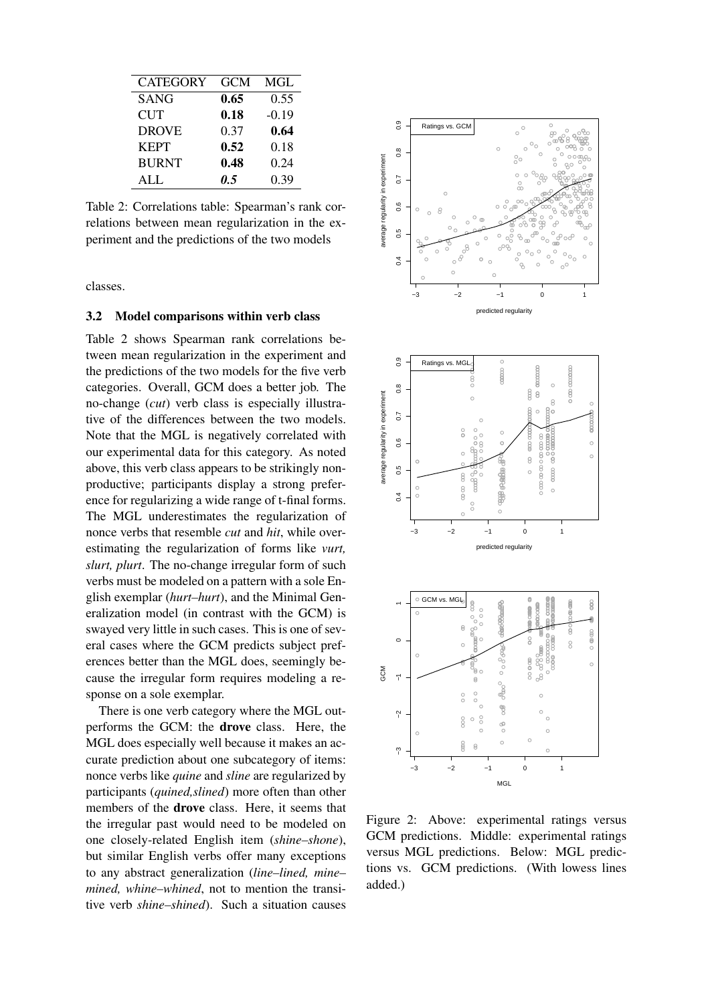| <b>CATEGORY</b> | GCM  | MGL     |
|-----------------|------|---------|
| <b>SANG</b>     | 0.65 | 0.55    |
| <b>CUT</b>      | 0.18 | $-0.19$ |
| <b>DROVE</b>    | 0.37 | 0.64    |
| <b>KEPT</b>     | 0.52 | 0.18    |
| <b>BURNT</b>    | 0.48 | 0.24    |
| ALL             | 0.5  | 0.39    |

Table 2: Correlations table: Spearman's rank correlations between mean regularization in the experiment and the predictions of the two models

classes.

#### 3.2 Model comparisons within verb class

Table 2 shows Spearman rank correlations between mean regularization in the experiment and the predictions of the two models for the five verb categories. Overall, GCM does a better job. The no-change (*cut*) verb class is especially illustrative of the differences between the two models. Note that the MGL is negatively correlated with our experimental data for this category. As noted above, this verb class appears to be strikingly nonproductive; participants display a strong preference for regularizing a wide range of t-final forms. The MGL underestimates the regularization of nonce verbs that resemble *cut* and *hit*, while overestimating the regularization of forms like *vurt, slurt, plurt*. The no-change irregular form of such verbs must be modeled on a pattern with a sole English exemplar (*hurt–hurt*), and the Minimal Generalization model (in contrast with the GCM) is swayed very little in such cases. This is one of several cases where the GCM predicts subject preferences better than the MGL does, seemingly because the irregular form requires modeling a response on a sole exemplar.

There is one verb category where the MGL outperforms the GCM: the drove class. Here, the MGL does especially well because it makes an accurate prediction about one subcategory of items: nonce verbs like *quine* and *sline* are regularized by participants (*quined,slined*) more often than other members of the drove class. Here, it seems that the irregular past would need to be modeled on one closely-related English item (*shine–shone*), but similar English verbs offer many exceptions to any abstract generalization (*line–lined, mine– mined, whine–whined*, not to mention the transitive verb *shine–shined*). Such a situation causes





Figure 2: Above: experimental ratings versus GCM predictions. Middle: experimental ratings versus MGL predictions. Below: MGL predictions vs. GCM predictions. (With lowess lines added.)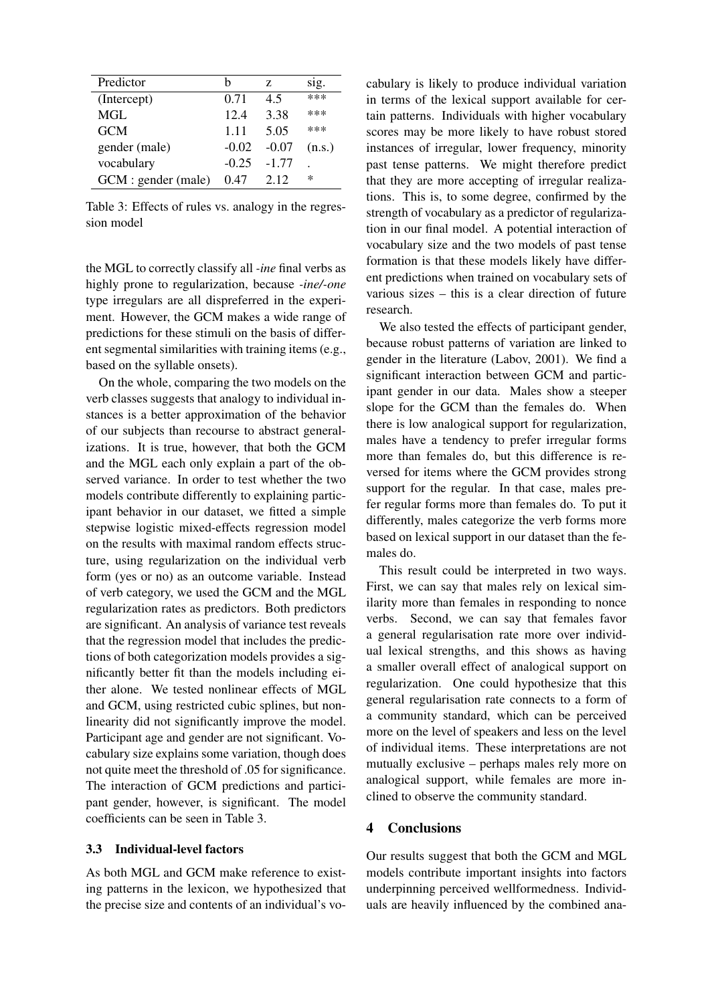| Predictor           | h       | Z.      | sig.   |
|---------------------|---------|---------|--------|
| (Intercept)         | 0.71    | 4.5     | ***    |
| MGL                 | 12.4    | 3.38    | ***    |
| <b>GCM</b>          | 1.11    | 5.05    | ***    |
| gender (male)       | $-0.02$ | $-0.07$ | (n.s.) |
| vocabulary          | $-0.25$ | $-1.77$ |        |
| GCM : gender (male) | 0.47    | 2.12    | ∗      |

Table 3: Effects of rules vs. analogy in the regression model

the MGL to correctly classify all *-ine* final verbs as highly prone to regularization, because *-ine/-one* type irregulars are all dispreferred in the experiment. However, the GCM makes a wide range of predictions for these stimuli on the basis of different segmental similarities with training items (e.g., based on the syllable onsets).

On the whole, comparing the two models on the verb classes suggests that analogy to individual instances is a better approximation of the behavior of our subjects than recourse to abstract generalizations. It is true, however, that both the GCM and the MGL each only explain a part of the observed variance. In order to test whether the two models contribute differently to explaining participant behavior in our dataset, we fitted a simple stepwise logistic mixed-effects regression model on the results with maximal random effects structure, using regularization on the individual verb form (yes or no) as an outcome variable. Instead of verb category, we used the GCM and the MGL regularization rates as predictors. Both predictors are significant. An analysis of variance test reveals that the regression model that includes the predictions of both categorization models provides a significantly better fit than the models including either alone. We tested nonlinear effects of MGL and GCM, using restricted cubic splines, but nonlinearity did not significantly improve the model. Participant age and gender are not significant. Vocabulary size explains some variation, though does not quite meet the threshold of .05 for significance. The interaction of GCM predictions and participant gender, however, is significant. The model coefficients can be seen in Table 3.

### 3.3 Individual-level factors

As both MGL and GCM make reference to existing patterns in the lexicon, we hypothesized that the precise size and contents of an individual's vocabulary is likely to produce individual variation in terms of the lexical support available for certain patterns. Individuals with higher vocabulary scores may be more likely to have robust stored instances of irregular, lower frequency, minority past tense patterns. We might therefore predict that they are more accepting of irregular realizations. This is, to some degree, confirmed by the strength of vocabulary as a predictor of regularization in our final model. A potential interaction of vocabulary size and the two models of past tense formation is that these models likely have different predictions when trained on vocabulary sets of various sizes – this is a clear direction of future research.

We also tested the effects of participant gender, because robust patterns of variation are linked to gender in the literature (Labov, 2001). We find a significant interaction between GCM and participant gender in our data. Males show a steeper slope for the GCM than the females do. When there is low analogical support for regularization, males have a tendency to prefer irregular forms more than females do, but this difference is reversed for items where the GCM provides strong support for the regular. In that case, males prefer regular forms more than females do. To put it differently, males categorize the verb forms more based on lexical support in our dataset than the females do.

This result could be interpreted in two ways. First, we can say that males rely on lexical similarity more than females in responding to nonce verbs. Second, we can say that females favor a general regularisation rate more over individual lexical strengths, and this shows as having a smaller overall effect of analogical support on regularization. One could hypothesize that this general regularisation rate connects to a form of a community standard, which can be perceived more on the level of speakers and less on the level of individual items. These interpretations are not mutually exclusive – perhaps males rely more on analogical support, while females are more inclined to observe the community standard.

## 4 Conclusions

Our results suggest that both the GCM and MGL models contribute important insights into factors underpinning perceived wellformedness. Individuals are heavily influenced by the combined ana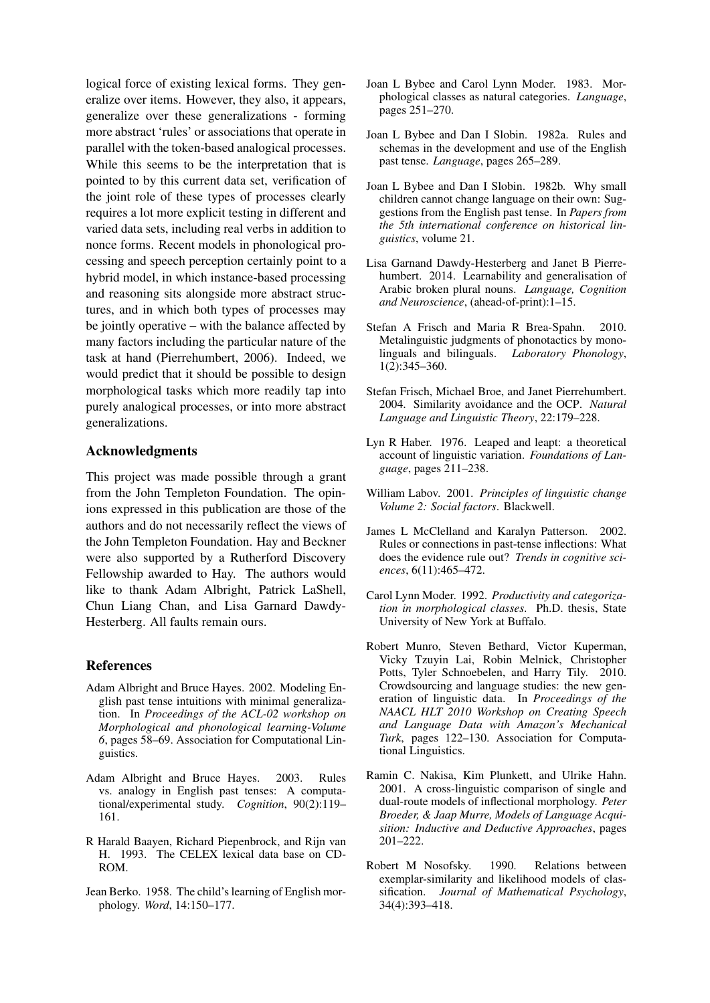logical force of existing lexical forms. They generalize over items. However, they also, it appears, generalize over these generalizations - forming more abstract 'rules' or associations that operate in parallel with the token-based analogical processes. While this seems to be the interpretation that is pointed to by this current data set, verification of the joint role of these types of processes clearly requires a lot more explicit testing in different and varied data sets, including real verbs in addition to nonce forms. Recent models in phonological processing and speech perception certainly point to a hybrid model, in which instance-based processing and reasoning sits alongside more abstract structures, and in which both types of processes may be jointly operative – with the balance affected by many factors including the particular nature of the task at hand (Pierrehumbert, 2006). Indeed, we would predict that it should be possible to design morphological tasks which more readily tap into purely analogical processes, or into more abstract generalizations.

## Acknowledgments

This project was made possible through a grant from the John Templeton Foundation. The opinions expressed in this publication are those of the authors and do not necessarily reflect the views of the John Templeton Foundation. Hay and Beckner were also supported by a Rutherford Discovery Fellowship awarded to Hay. The authors would like to thank Adam Albright, Patrick LaShell, Chun Liang Chan, and Lisa Garnard Dawdy-Hesterberg. All faults remain ours.

## References

- Adam Albright and Bruce Hayes. 2002. Modeling English past tense intuitions with minimal generalization. In *Proceedings of the ACL-02 workshop on Morphological and phonological learning-Volume 6*, pages 58–69. Association for Computational Linguistics.
- Adam Albright and Bruce Hayes. 2003. Rules vs. analogy in English past tenses: A computational/experimental study. *Cognition*, 90(2):119– 161.
- R Harald Baayen, Richard Piepenbrock, and Rijn van H. 1993. The CELEX lexical data base on CD-ROM.
- Jean Berko. 1958. The child's learning of English morphology. *Word*, 14:150–177.
- Joan L Bybee and Carol Lynn Moder. 1983. Morphological classes as natural categories. *Language*, pages 251–270.
- Joan L Bybee and Dan I Slobin. 1982a. Rules and schemas in the development and use of the English past tense. *Language*, pages 265–289.
- Joan L Bybee and Dan I Slobin. 1982b. Why small children cannot change language on their own: Suggestions from the English past tense. In *Papers from the 5th international conference on historical linguistics*, volume 21.
- Lisa Garnand Dawdy-Hesterberg and Janet B Pierrehumbert. 2014. Learnability and generalisation of Arabic broken plural nouns. *Language, Cognition and Neuroscience*, (ahead-of-print):1–15.
- Stefan A Frisch and Maria R Brea-Spahn. 2010. Metalinguistic judgments of phonotactics by monolinguals and bilinguals. *Laboratory Phonology*, 1(2):345–360.
- Stefan Frisch, Michael Broe, and Janet Pierrehumbert. 2004. Similarity avoidance and the OCP. *Natural Language and Linguistic Theory*, 22:179–228.
- Lyn R Haber. 1976. Leaped and leapt: a theoretical account of linguistic variation. *Foundations of Language*, pages 211–238.
- William Labov. 2001. *Principles of linguistic change Volume 2: Social factors*. Blackwell.
- James L McClelland and Karalyn Patterson. 2002. Rules or connections in past-tense inflections: What does the evidence rule out? *Trends in cognitive sciences*, 6(11):465–472.
- Carol Lynn Moder. 1992. *Productivity and categorization in morphological classes*. Ph.D. thesis, State University of New York at Buffalo.
- Robert Munro, Steven Bethard, Victor Kuperman, Vicky Tzuyin Lai, Robin Melnick, Christopher Potts, Tyler Schnoebelen, and Harry Tily. 2010. Crowdsourcing and language studies: the new generation of linguistic data. In *Proceedings of the NAACL HLT 2010 Workshop on Creating Speech and Language Data with Amazon's Mechanical Turk*, pages 122–130. Association for Computational Linguistics.
- Ramin C. Nakisa, Kim Plunkett, and Ulrike Hahn. 2001. A cross-linguistic comparison of single and dual-route models of inflectional morphology. *Peter Broeder, & Jaap Murre, Models of Language Acquisition: Inductive and Deductive Approaches*, pages 201–222.
- Robert M Nosofsky. 1990. Relations between exemplar-similarity and likelihood models of classification. *Journal of Mathematical Psychology*, 34(4):393–418.